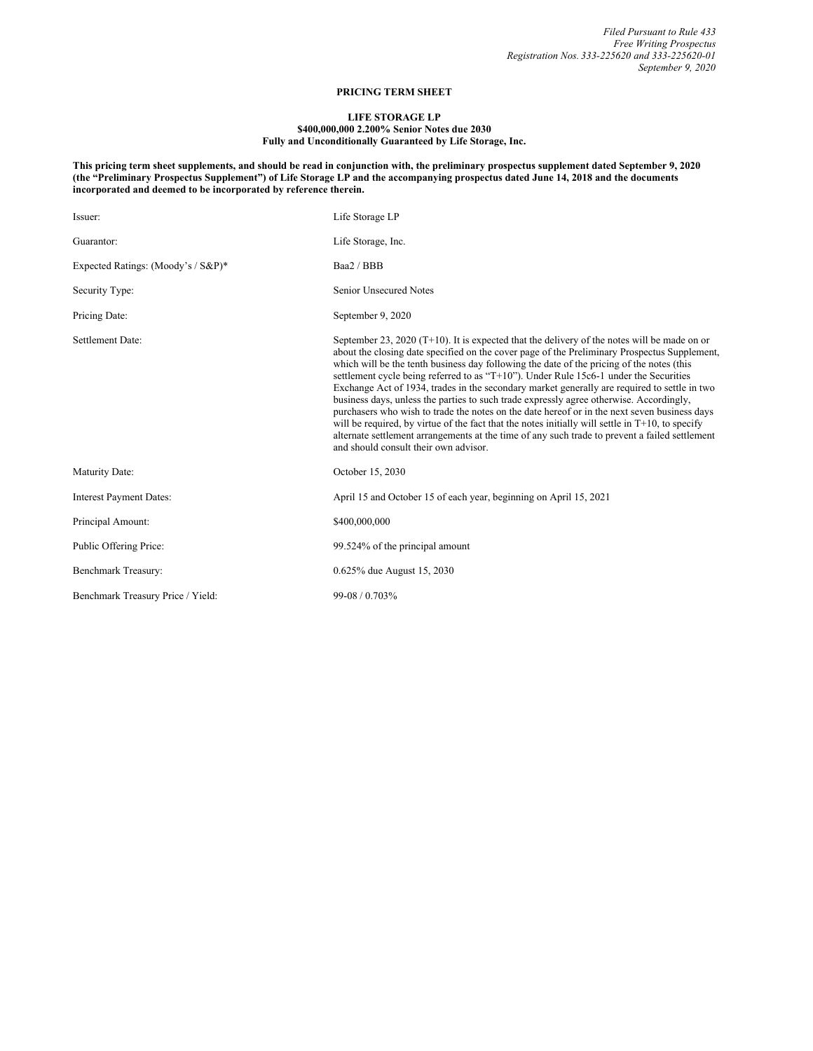## **PRICING TERM SHEET**

## **LIFE STORAGE LP**

## **\$400,000,000 2.200% Senior Notes due 2030 Fully and Unconditionally Guaranteed by Life Storage, Inc.**

This pricing term sheet supplements, and should be read in conjunction with, the preliminary prospectus supplement dated September 9, 2020 (the "Preliminary Prospectus Supplement") of Life Storage LP and the accompanying prospectus dated June 14, 2018 and the documents **incorporated and deemed to be incorporated by reference therein.**

| Issuer:                            | Life Storage LP                                                                                                                                                                                                                                                                                                                                                                                                                                                                                                                                                                                                                                                                                                                                                                                                                                                                                                                |
|------------------------------------|--------------------------------------------------------------------------------------------------------------------------------------------------------------------------------------------------------------------------------------------------------------------------------------------------------------------------------------------------------------------------------------------------------------------------------------------------------------------------------------------------------------------------------------------------------------------------------------------------------------------------------------------------------------------------------------------------------------------------------------------------------------------------------------------------------------------------------------------------------------------------------------------------------------------------------|
| Guarantor:                         | Life Storage, Inc.                                                                                                                                                                                                                                                                                                                                                                                                                                                                                                                                                                                                                                                                                                                                                                                                                                                                                                             |
| Expected Ratings: (Moody's / S&P)* | Baa2 / BBB                                                                                                                                                                                                                                                                                                                                                                                                                                                                                                                                                                                                                                                                                                                                                                                                                                                                                                                     |
| Security Type:                     | Senior Unsecured Notes                                                                                                                                                                                                                                                                                                                                                                                                                                                                                                                                                                                                                                                                                                                                                                                                                                                                                                         |
| Pricing Date:                      | September 9, 2020                                                                                                                                                                                                                                                                                                                                                                                                                                                                                                                                                                                                                                                                                                                                                                                                                                                                                                              |
| Settlement Date:                   | September 23, 2020 (T+10). It is expected that the delivery of the notes will be made on or<br>about the closing date specified on the cover page of the Preliminary Prospectus Supplement,<br>which will be the tenth business day following the date of the pricing of the notes (this<br>settlement cycle being referred to as "T+10"). Under Rule 15c6-1 under the Securities<br>Exchange Act of 1934, trades in the secondary market generally are required to settle in two<br>business days, unless the parties to such trade expressly agree otherwise. Accordingly,<br>purchasers who wish to trade the notes on the date hereof or in the next seven business days<br>will be required, by virtue of the fact that the notes initially will settle in $T+10$ , to specify<br>alternate settlement arrangements at the time of any such trade to prevent a failed settlement<br>and should consult their own advisor. |
| Maturity Date:                     | October 15, 2030                                                                                                                                                                                                                                                                                                                                                                                                                                                                                                                                                                                                                                                                                                                                                                                                                                                                                                               |
| <b>Interest Payment Dates:</b>     | April 15 and October 15 of each year, beginning on April 15, 2021                                                                                                                                                                                                                                                                                                                                                                                                                                                                                                                                                                                                                                                                                                                                                                                                                                                              |
| Principal Amount:                  | \$400,000,000                                                                                                                                                                                                                                                                                                                                                                                                                                                                                                                                                                                                                                                                                                                                                                                                                                                                                                                  |
| Public Offering Price:             | 99.524% of the principal amount                                                                                                                                                                                                                                                                                                                                                                                                                                                                                                                                                                                                                                                                                                                                                                                                                                                                                                |
| Benchmark Treasury:                | 0.625% due August 15, 2030                                                                                                                                                                                                                                                                                                                                                                                                                                                                                                                                                                                                                                                                                                                                                                                                                                                                                                     |
| Benchmark Treasury Price / Yield:  | 99-08 / 0.703%                                                                                                                                                                                                                                                                                                                                                                                                                                                                                                                                                                                                                                                                                                                                                                                                                                                                                                                 |